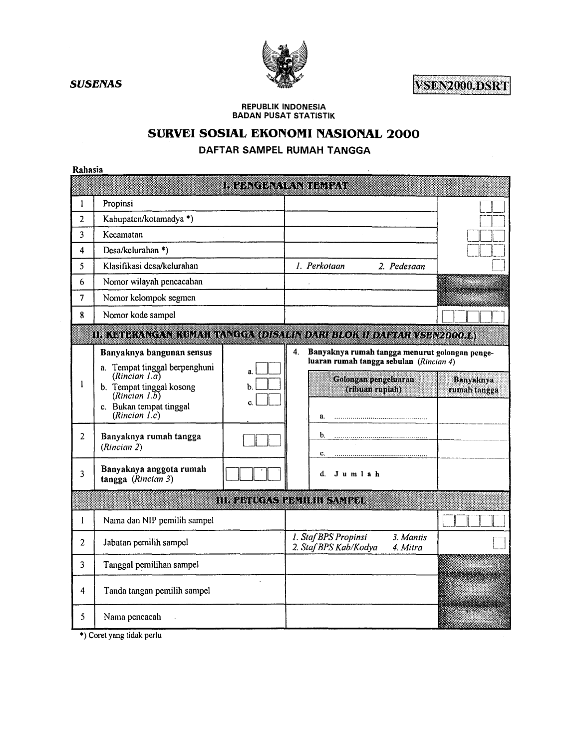VSEN2000.DSRT

**REPUBLIK INDONESIA BADAN PUSAT STATISTIK** 

# SURVEI SOSIAL EKONOMI NASIONAL 2000

# DAFTAR SAMPEL RUMAH TANGGA

Rahasia

| Rahasia        |                                                |           |                                                                        |                                  |
|----------------|------------------------------------------------|-----------|------------------------------------------------------------------------|----------------------------------|
|                |                                                |           | in zəngən etmişdirmə                                                   |                                  |
| 1              | Propinsi                                       |           |                                                                        |                                  |
| $\overline{2}$ | Kabupaten/kotamadya *)                         |           |                                                                        |                                  |
| 3              | Kecamatan                                      |           |                                                                        |                                  |
| 4              | Desa/kelurahan *)                              |           |                                                                        |                                  |
| 5              | Klasifikasi desa/kelurahan                     |           | 1. Perkotaan<br>2. Pedesaan                                            |                                  |
| 6              | Nomor wilayah pencacahan                       |           |                                                                        |                                  |
| 7              | Nomor kelompok segmen                          |           |                                                                        |                                  |
| 8              | Nomor kode sampel                              |           |                                                                        |                                  |
|                |                                                |           | II. KETERANGAN KUMAH TANGGA (DISALIN DARI BLOK II DAFTAR VSEN2000.L)   |                                  |
|                | Banyaknya bangunan sensus                      |           | 4.<br>Banyaknya rumah tangga menurut golongan penge-                   |                                  |
|                | a. Tempat tinggal berpenghuni<br>(Rincian I.a) | a.        | luaran rumah tangga sebulan (Rincian 4)                                |                                  |
| ł              | b. Tempat tinggal kosong                       | b.        | Golongan pengeluaran<br>(ribuan ruplah)                                | <b>Banyaknya</b><br>rumah tangga |
|                | (Rincian 1.5)<br>c. Bukan tempat tinggal       | C.        |                                                                        |                                  |
|                | (Rincian I.c)                                  |           | a.                                                                     |                                  |
| 2              | Banyaknya rumah tangga                         |           |                                                                        |                                  |
|                | (Rincian 2)                                    |           | C.                                                                     |                                  |
| 3              | Banyaknya anggota rumah                        |           | d. Jumlah                                                              |                                  |
|                | tangga (Rincian 3)                             |           |                                                                        |                                  |
|                |                                                |           | III. PETUGAS PENILIH SAMPEL                                            |                                  |
| $\mathbf{1}$   | Nama dan NIP pemilih sampel                    |           |                                                                        |                                  |
| 2              | Jabatan pemilih sampel                         |           | 3. Mantis<br>1. Staf BPS Propinsi<br>2. Staf BPS Kab/Kodya<br>4. Mitra |                                  |
| 3              | Tanggal pemilihan sampel                       |           |                                                                        |                                  |
| 4              | Tanda tangan pemilih sampel                    | $\sim 10$ |                                                                        |                                  |
| 5              | Nama pencacah                                  |           |                                                                        |                                  |

\*) Coret yang tidak perlu

**SUSENAS**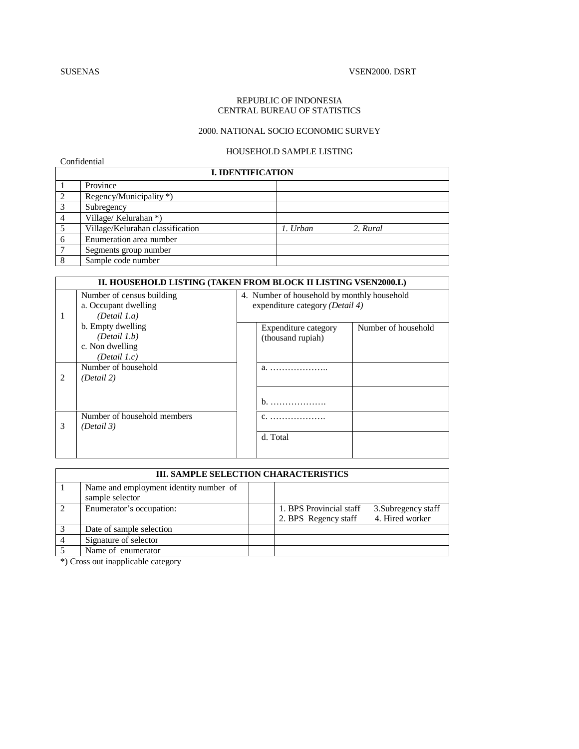Confidential

#### REPUBLIC OF INDONESIA CENTRAL BUREAU OF STATISTICS

## 2000. NATIONAL SOCIO ECONOMIC SURVEY

### HOUSEHOLD SAMPLE LISTING

|                | <b>I. IDENTIFICATION</b>         |          |          |
|----------------|----------------------------------|----------|----------|
|                | Province                         |          |          |
| 2              | Regency/Municipality *)          |          |          |
| 3              | Subregency                       |          |          |
| $\overline{4}$ | Village/Kelurahan *)             |          |          |
|                | Village/Kelurahan classification | 1. Urban | 2. Rural |
| 6              | Enumeration area number          |          |          |
|                | Segments group number            |          |          |
| 8              | Sample code number               |          |          |

|    |                                                                         | II. HOUSEHOLD LISTING (TAKEN FROM BLOCK II LISTING VSEN2000.L)                 |
|----|-------------------------------------------------------------------------|--------------------------------------------------------------------------------|
| -1 | Number of census building<br>a. Occupant dwelling<br>(Detail 1.a)       | 4. Number of household by monthly household<br>expenditure category (Detail 4) |
|    | b. Empty dwelling<br>(Detail 1.b)<br>c. Non dwelling<br>(Detail $1.c$ ) | Number of household<br>Expenditure category<br>(thousand rupiah)               |
| 2  | Number of household<br>(Detail 2)                                       | $b.$                                                                           |
| 3  | Number of household members<br>(Detail 3)                               | d. Total                                                                       |

|               | <b>III. SAMPLE SELECTION CHARACTERISTICS</b>              |                                                 |                                        |
|---------------|-----------------------------------------------------------|-------------------------------------------------|----------------------------------------|
|               | Name and employment identity number of<br>sample selector |                                                 |                                        |
| $\mathcal{D}$ | Enumerator's occupation:                                  | 1. BPS Provincial staff<br>2. BPS Regency staff | 3. Subregency staff<br>4. Hired worker |
|               | Date of sample selection                                  |                                                 |                                        |
|               | Signature of selector                                     |                                                 |                                        |
|               | Name of enumerator                                        |                                                 |                                        |

\*) Cross out inapplicable category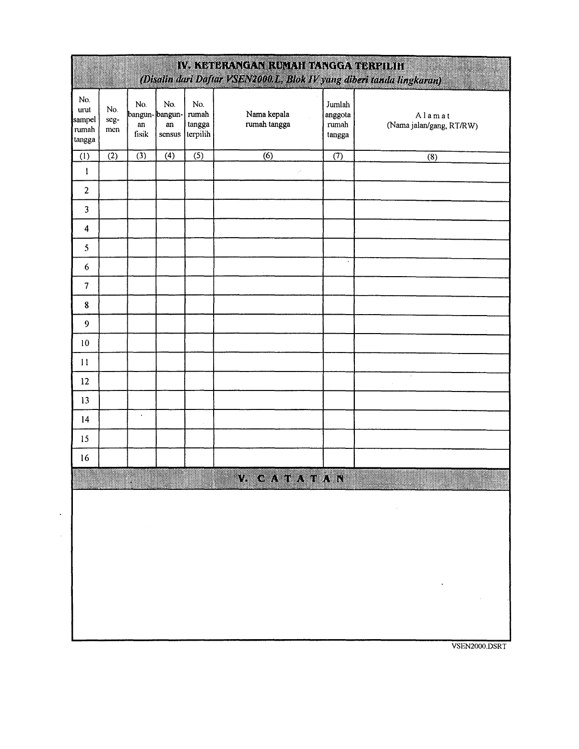|                                          |                    |                            |                                            |                                    | IV. KETERANGAN RUMAH TANGGA TERPILIH<br>(Disalin dari Daftar VSEN2000.L. Blok IV yang diberi tanda lingkaran) |                                      |                                    |
|------------------------------------------|--------------------|----------------------------|--------------------------------------------|------------------------------------|---------------------------------------------------------------------------------------------------------------|--------------------------------------|------------------------------------|
| No.<br>urut<br>sampel<br>rumah<br>tangga | No.<br>seg-<br>men | No.<br>${\bf an}$<br>fisik | No.<br>bangun-bangun-<br>$\,$ an<br>sensus | No.<br>rumah<br>tangga<br>terpilih | Nama kepala<br>rumah tangga                                                                                   | Jumlah<br>anggota<br>rumah<br>tangga | Alamat<br>(Nama jalan/gang, RT/RW) |
| (1)                                      | $\overline{(2)}$   | $\overline{3}$             | $\overline{(4)}$                           | $\overline{(5)}$                   | (6)                                                                                                           | $\overline{(7)}$                     | $\overline{(8)}$                   |
| $\mathbf{I}$                             |                    |                            |                                            |                                    |                                                                                                               |                                      |                                    |
| $\overline{2}$                           |                    |                            |                                            |                                    |                                                                                                               |                                      |                                    |
| 3                                        |                    |                            |                                            |                                    |                                                                                                               |                                      |                                    |
| 4                                        |                    |                            |                                            |                                    |                                                                                                               |                                      |                                    |
| 5                                        |                    |                            |                                            |                                    |                                                                                                               |                                      |                                    |
| 6                                        |                    |                            |                                            |                                    |                                                                                                               | $\cdot$                              |                                    |
| $\overline{7}$                           |                    |                            |                                            |                                    |                                                                                                               |                                      |                                    |
| ${\bf 8}$                                |                    |                            |                                            |                                    |                                                                                                               |                                      |                                    |
| $\overline{9}$                           |                    |                            |                                            |                                    |                                                                                                               |                                      |                                    |
| 10                                       |                    |                            |                                            |                                    |                                                                                                               |                                      |                                    |
| 11                                       |                    |                            |                                            |                                    |                                                                                                               |                                      |                                    |
| 12                                       |                    |                            |                                            |                                    |                                                                                                               |                                      | $\ddot{\phantom{a}}$               |
| 13                                       |                    |                            |                                            |                                    |                                                                                                               |                                      |                                    |
| 14                                       |                    | $\bullet$                  |                                            |                                    |                                                                                                               |                                      |                                    |
| 15                                       |                    |                            |                                            |                                    |                                                                                                               |                                      |                                    |
| 16                                       |                    |                            |                                            |                                    |                                                                                                               |                                      |                                    |
|                                          |                    |                            |                                            |                                    | V CATATAN                                                                                                     |                                      |                                    |
|                                          |                    |                            |                                            |                                    |                                                                                                               |                                      |                                    |
|                                          |                    |                            |                                            |                                    |                                                                                                               |                                      |                                    |
|                                          |                    |                            |                                            |                                    |                                                                                                               |                                      |                                    |
|                                          |                    |                            |                                            |                                    |                                                                                                               |                                      |                                    |
|                                          |                    |                            |                                            |                                    |                                                                                                               |                                      |                                    |
|                                          |                    |                            |                                            |                                    |                                                                                                               |                                      |                                    |
|                                          |                    |                            |                                            |                                    |                                                                                                               |                                      |                                    |

VSEN2000.DSRT